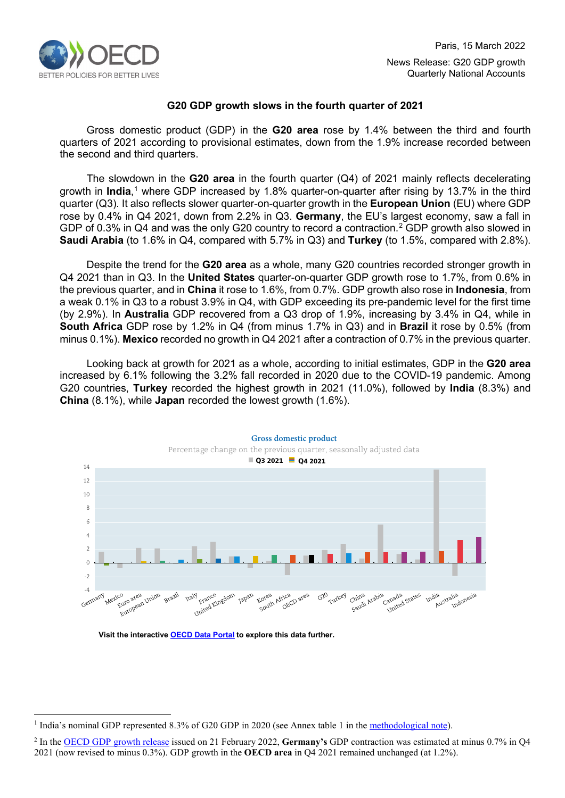

# **G20 GDP growth slows in the fourth quarter of 2021**

Gross domestic product (GDP) in the **G20 area** rose by 1.4% between the third and fourth quarters of 2021 according to provisional estimates, down from the 1.9% increase recorded between the second and third quarters.

The slowdown in the **G20 area** in the fourth quarter (Q4) of 2021 mainly reflects decelerating growth in **India**, [1](#page-0-0) where GDP increased by 1.8% quarter-on-quarter after rising by 13.7% in the third quarter (Q3). It also reflects slower quarter-on-quarter growth in the **European Union** (EU) where GDP rose by 0.4% in Q4 2021, down from 2.2% in Q3. **Germany**, the EU's largest economy, saw a fall in GDP of 0.3% in Q4 and was the only G20 country to record a contraction. [2](#page-0-1) GDP growth also slowed in **Saudi Arabia** (to 1.6% in Q4, compared with 5.7% in Q3) and **Turkey** (to 1.5%, compared with 2.8%).

Despite the trend for the **G20 area** as a whole, many G20 countries recorded stronger growth in Q4 2021 than in Q3. In the **United States** quarter-on-quarter GDP growth rose to 1.7%, from 0.6% in the previous quarter, and in **China** it rose to 1.6%, from 0.7%. GDP growth also rose in **Indonesia**, from a weak 0.1% in Q3 to a robust 3.9% in Q4, with GDP exceeding its pre-pandemic level for the first time (by 2.9%). In **Australia** GDP recovered from a Q3 drop of 1.9%, increasing by 3.4% in Q4, while in **South Africa** GDP rose by 1.2% in Q4 (from minus 1.7% in Q3) and in **Brazil** it rose by 0.5% (from minus 0.1%). **Mexico** recorded no growth in Q4 2021 after a contraction of 0.7% in the previous quarter.

Looking back at growth for 2021 as a whole, according to initial estimates, GDP in the **G20 area** increased by 6.1% following the 3.2% fall recorded in 2020 due to the COVID-19 pandemic. Among G20 countries, **Turkey** recorded the highest growth in 2021 (11.0%), followed by **India** (8.3%) and **China** (8.1%), while **Japan** recorded the lowest growth (1.6%).



#### **Visit the interactive [OECD Data Portal](https://data.oecd.org/chart/6DMt) to explore this data further.**

<span id="page-0-0"></span><sup>&</sup>lt;sup>1</sup> India's nominal GDP represented 8.3% of G20 GDP in 2020 (see Annex table 1 in th[e methodological note\)](http://www.oecd.org/sdd/na/G20QuarterlyGDPGrowth_Methodology.pdf).

<span id="page-0-1"></span><sup>2</sup> In the [OECD GDP growth release](https://www.oecd.org/sdd/na/GDP-Growth-Q421.pdf) issued on 21 February 2022, **Germany's** GDP contraction was estimated at minus 0.7% in Q4 2021 (now revised to minus 0.3%). GDP growth in the **OECD area** in Q4 2021 remained unchanged (at 1.2%).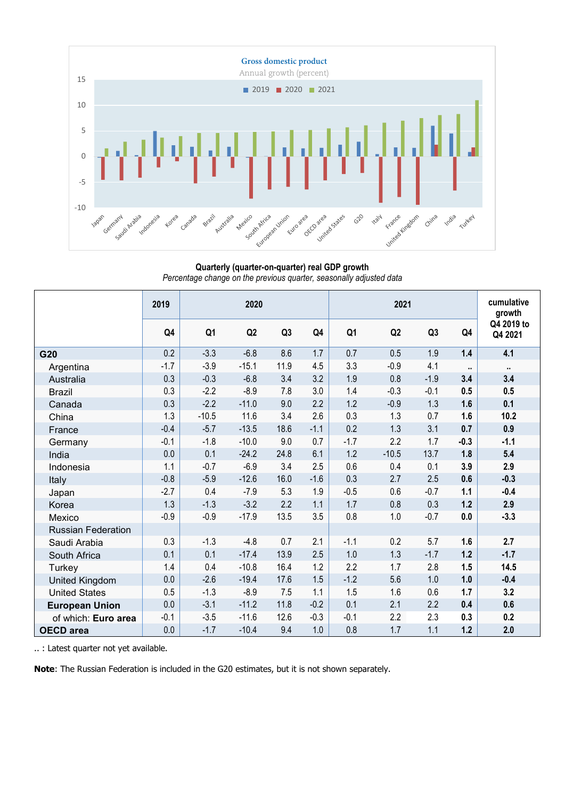

**Quarterly (quarter-on-quarter) real GDP growth** *Percentage change on the previous quarter, seasonally adjusted data*

|                           | 2019   | 2020           |         |      |        |                | cumulative<br>growth |        |                      |                       |  |
|---------------------------|--------|----------------|---------|------|--------|----------------|----------------------|--------|----------------------|-----------------------|--|
|                           | Q4     | Q <sub>1</sub> | Q2      | Q3   | Q4     | Q <sub>1</sub> | Q2                   | Q3     | Q4                   | Q4 2019 to<br>Q4 2021 |  |
| G20                       | 0.2    | $-3.3$         | $-6.8$  | 8.6  | 1.7    | 0.7            | 0.5                  | 1.9    | 1.4                  | 4.1                   |  |
| Argentina                 | $-1.7$ | $-3.9$         | $-15.1$ | 11.9 | 4.5    | 3.3            | $-0.9$               | 4.1    | $\ddot{\phantom{1}}$ | $\mathbf{u}$          |  |
| Australia                 | 0.3    | $-0.3$         | $-6.8$  | 3.4  | 3.2    | 1.9            | 0.8                  | $-1.9$ | 3.4                  | 3.4                   |  |
| <b>Brazil</b>             | 0.3    | $-2.2$         | $-8.9$  | 7.8  | 3.0    | 1.4            | $-0.3$               | $-0.1$ | 0.5                  | 0.5                   |  |
| Canada                    | 0.3    | $-2.2$         | $-11.0$ | 9.0  | 2.2    | 1.2            | $-0.9$               | 1.3    | 1.6                  | 0.1                   |  |
| China                     | 1.3    | $-10.5$        | 11.6    | 3.4  | 2.6    | 0.3            | 1.3                  | 0.7    | 1.6                  | 10.2                  |  |
| France                    | $-0.4$ | $-5.7$         | $-13.5$ | 18.6 | $-1.1$ | 0.2            | 1.3                  | 3.1    | 0.7                  | 0.9                   |  |
| Germany                   | $-0.1$ | $-1.8$         | $-10.0$ | 9.0  | 0.7    | $-1.7$         | 2.2                  | 1.7    | $-0.3$               | $-1.1$                |  |
| India                     | 0.0    | 0.1            | $-24.2$ | 24.8 | 6.1    | 1.2            | $-10.5$              | 13.7   | 1.8                  | 5.4                   |  |
| Indonesia                 | 1.1    | $-0.7$         | $-6.9$  | 3.4  | 2.5    | 0.6            | 0.4                  | 0.1    | 3.9                  | 2.9                   |  |
| Italy                     | $-0.8$ | $-5.9$         | $-12.6$ | 16.0 | $-1.6$ | 0.3            | 2.7                  | 2.5    | 0.6                  | $-0.3$                |  |
| Japan                     | $-2.7$ | 0.4            | $-7.9$  | 5.3  | 1.9    | $-0.5$         | 0.6                  | $-0.7$ | 1.1                  | $-0.4$                |  |
| Korea                     | 1.3    | $-1.3$         | $-3.2$  | 2.2  | 1.1    | 1.7            | 0.8                  | 0.3    | $1.2$                | 2.9                   |  |
| Mexico                    | $-0.9$ | $-0.9$         | $-17.9$ | 13.5 | 3.5    | 0.8            | $1.0\,$              | $-0.7$ | 0.0                  | $-3.3$                |  |
| <b>Russian Federation</b> |        |                |         |      |        |                |                      |        |                      |                       |  |
| Saudi Arabia              | 0.3    | $-1.3$         | $-4.8$  | 0.7  | 2.1    | $-1.1$         | 0.2                  | 5.7    | 1.6                  | 2.7                   |  |
| South Africa              | 0.1    | 0.1            | $-17.4$ | 13.9 | 2.5    | 1.0            | 1.3                  | $-1.7$ | 1.2                  | $-1.7$                |  |
| Turkey                    | 1.4    | 0.4            | $-10.8$ | 16.4 | 1.2    | 2.2            | 1.7                  | 2.8    | 1.5                  | 14.5                  |  |
| United Kingdom            | 0.0    | $-2.6$         | $-19.4$ | 17.6 | 1.5    | $-1.2$         | 5.6                  | 1.0    | 1.0                  | $-0.4$                |  |
| <b>United States</b>      | 0.5    | $-1.3$         | $-8.9$  | 7.5  | 1.1    | 1.5            | 1.6                  | 0.6    | 1.7                  | 3.2                   |  |
| <b>European Union</b>     | 0.0    | $-3.1$         | $-11.2$ | 11.8 | $-0.2$ | 0.1            | 2.1                  | 2.2    | 0.4                  | 0.6                   |  |
| of which: Euro area       | $-0.1$ | $-3.5$         | $-11.6$ | 12.6 | $-0.3$ | $-0.1$         | 2.2                  | 2.3    | 0.3                  | 0.2                   |  |
| <b>OECD</b> area          | 0.0    | $-1.7$         | $-10.4$ | 9.4  | 1.0    | 0.8            | 1.7                  | 1.1    | 1.2                  | 2.0                   |  |

.. : Latest quarter not yet available.

**Note**: The Russian Federation is included in the G20 estimates, but it is not shown separately.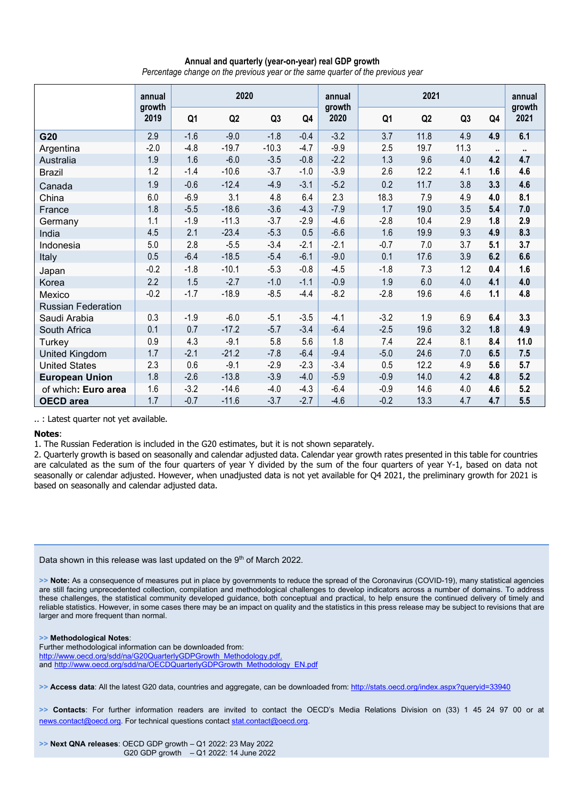### **Annual and quarterly (year-on-year) real GDP growth**

*Percentage change on the previous year or the same quarter of the previous year*

|                           | annual         | 2020   |         |         |        | annual         | 2021           |                |      |              | annual         |
|---------------------------|----------------|--------|---------|---------|--------|----------------|----------------|----------------|------|--------------|----------------|
|                           | growth<br>2019 | Q1     | Q2      | Q3      | Q4     | growth<br>2020 | Q <sub>1</sub> | Q <sub>2</sub> | Q3   | Q4           | growth<br>2021 |
| G20                       | 2.9            | $-1.6$ | $-9.0$  | $-1.8$  | $-0.4$ | $-3.2$         | 3.7            | 11.8           | 4.9  | 4.9          | 6.1            |
| Argentina                 | $-2.0$         | $-4.8$ | $-19.7$ | $-10.3$ | $-4.7$ | $-9.9$         | 2.5            | 19.7           | 11.3 | $\mathbf{u}$ | $\mathbf{u}$   |
| Australia                 | 1.9            | 1.6    | $-6.0$  | $-3.5$  | $-0.8$ | $-2.2$         | 1.3            | 9.6            | 4.0  | 4.2          | 4.7            |
| <b>Brazil</b>             | 1.2            | $-1.4$ | $-10.6$ | $-3.7$  | $-1.0$ | $-3.9$         | 2.6            | 12.2           | 4.1  | 1.6          | 4.6            |
| Canada                    | 1.9            | $-0.6$ | $-12.4$ | $-4.9$  | $-3.1$ | $-5.2$         | 0.2            | 11.7           | 3.8  | 3.3          | 4.6            |
| China                     | 6.0            | $-6.9$ | 3.1     | 4.8     | 6.4    | 2.3            | 18.3           | 7.9            | 4.9  | 4.0          | 8.1            |
| France                    | 1.8            | $-5.5$ | $-18.6$ | $-3.6$  | $-4.3$ | $-7.9$         | 1.7            | 19.0           | 3.5  | 5.4          | 7.0            |
| Germany                   | 1.1            | $-1.9$ | $-11.3$ | $-3.7$  | $-2.9$ | $-4.6$         | $-2.8$         | 10.4           | 2.9  | 1.8          | 2.9            |
| India                     | 4.5            | 2.1    | $-23.4$ | $-5.3$  | 0.5    | $-6.6$         | 1.6            | 19.9           | 9.3  | 4.9          | 8.3            |
| Indonesia                 | 5.0            | 2.8    | $-5.5$  | $-3.4$  | $-2.1$ | $-2.1$         | $-0.7$         | 7.0            | 3.7  | 5.1          | 3.7            |
| Italy                     | 0.5            | $-6.4$ | $-18.5$ | $-5.4$  | $-6.1$ | $-9.0$         | 0.1            | 17.6           | 3.9  | 6.2          | 6.6            |
| Japan                     | $-0.2$         | $-1.8$ | $-10.1$ | $-5.3$  | $-0.8$ | $-4.5$         | $-1.8$         | 7.3            | 1.2  | 0.4          | 1.6            |
| Korea                     | 2.2            | 1.5    | $-2.7$  | $-1.0$  | $-1.1$ | $-0.9$         | 1.9            | 6.0            | 4.0  | 4.1          | 4.0            |
| Mexico                    | $-0.2$         | $-1.7$ | $-18.9$ | $-8.5$  | $-4.4$ | $-8.2$         | $-2.8$         | 19.6           | 4.6  | $1.1$        | 4.8            |
| <b>Russian Federation</b> |                |        |         |         |        |                |                |                |      |              |                |
| Saudi Arabia              | 0.3            | $-1.9$ | $-6.0$  | $-5.1$  | $-3.5$ | $-4.1$         | $-3.2$         | 1.9            | 6.9  | 6.4          | 3.3            |
| South Africa              | 0.1            | 0.7    | $-17.2$ | $-5.7$  | $-3.4$ | $-6.4$         | $-2.5$         | 19.6           | 3.2  | 1.8          | 4.9            |
| Turkey                    | 0.9            | 4.3    | $-9.1$  | 5.8     | 5.6    | 1.8            | 7.4            | 22.4           | 8.1  | 8.4          | 11.0           |
| United Kingdom            | 1.7            | $-2.1$ | $-21.2$ | $-7.8$  | $-6.4$ | $-9.4$         | $-5.0$         | 24.6           | 7.0  | 6.5          | 7.5            |
| <b>United States</b>      | 2.3            | 0.6    | $-9.1$  | $-2.9$  | $-2.3$ | $-3.4$         | 0.5            | 12.2           | 4.9  | 5.6          | 5.7            |
| <b>European Union</b>     | 1.8            | $-2.6$ | $-13.8$ | $-3.9$  | $-4.0$ | $-5.9$         | $-0.9$         | 14.0           | 4.2  | 4.8          | 5.2            |
| of which: Euro area       | 1.6            | $-3.2$ | $-14.6$ | $-4.0$  | $-4.3$ | $-6.4$         | $-0.9$         | 14.6           | 4.0  | 4.6          | 5.2            |
| <b>OECD</b> area          | 1.7            | $-0.7$ | $-11.6$ | $-3.7$  | $-2.7$ | $-4.6$         | $-0.2$         | 13.3           | 4.7  | 4.7          | 5.5            |

.. : Latest quarter not yet available.

#### **Notes**:

1. The Russian Federation is included in the G20 estimates, but it is not shown separately.

2. Quarterly growth is based on seasonally and calendar adjusted data. Calendar year growth rates presented in this table for countries are calculated as the sum of the four quarters of year Y divided by the sum of the four quarters of year Y-1, based on data not seasonally or calendar adjusted. However, when unadjusted data is not yet available for Q4 2021, the preliminary growth for 2021 is based on seasonally and calendar adjusted data.

Data shown in this release was last updated on the 9<sup>th</sup> of March 2022.

>> **Note:** As a consequence of measures put in place by governments to reduce the spread of the Coronavirus (COVID-19), many statistical agencies are still facing unprecedented collection, compilation and methodological challenges to develop indicators across a number of domains. To address these challenges, the statistical community developed guidance, both conceptual and practical, to help ensure the continued delivery of timely and reliable statistics. However, in some cases there may be an impact on quality and the statistics in this press release may be subject to revisions that are larger and more frequent than normal.

**>> Methodological Notes**:

Further methodological information can be downloaded from: [http://www.oecd.org/sdd/na/G20QuarterlyGDPGrowth\\_Methodology.pdf.](http://www.oecd.org/sdd/na/G20QuarterlyGDPGrowth_Methodology.pdf) and [http://www.oecd.org/sdd/na/OECDQuarterlyGDPGrowth\\_Methodology\\_EN.pdf](http://www.oecd.org/sdd/na/OECDQuarterlyGDPGrowth_Methodology_EN.pdf)

**>> Access data**: All the latest G20 data, countries and aggregate, can be downloaded from:<http://stats.oecd.org/index.aspx?queryid=33940>

**>> Contacts**: For further information readers are invited to contact the OECD's Media Relations Division on (33) 1 45 24 97 00 or at [news.contact@oecd.org.](mailto:news.contact@oecd.org) For technical questions contac[t stat.contact@oecd.org.](mailto:stat.contact@oecd.org)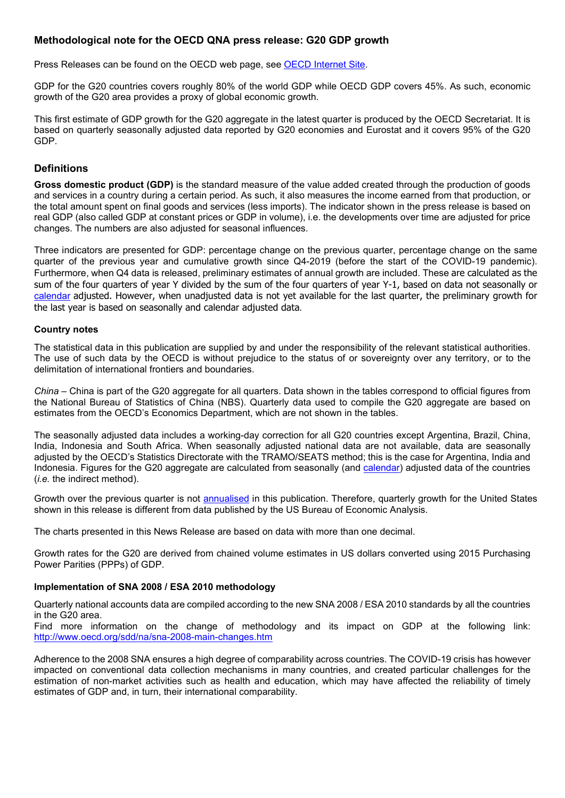# **Methodological note for the OECD QNA press release: G20 GDP growth**

Press Releases can be found on the OECD web page, see [OECD Internet Site.](http://www.oecd.org/sdd/statisticsnewsreleases.htm)

GDP for the G20 countries covers roughly 80% of the world GDP while OECD GDP covers 45%. As such, economic growth of the G20 area provides a proxy of global economic growth.

This first estimate of GDP growth for the G20 aggregate in the latest quarter is produced by the OECD Secretariat. It is based on quarterly seasonally adjusted data reported by G20 economies and Eurostat and it covers 95% of the G20 GDP.

## **Definitions**

**Gross domestic product (GDP)** is the standard measure of the value added created through the production of goods and services in a country during a certain period. As such, it also measures the income earned from that production, or the total amount spent on final goods and services (less imports). The indicator shown in the press release is based on real GDP (also called GDP at constant prices or GDP in volume), i.e. the developments over time are adjusted for price changes. The numbers are also adjusted for seasonal influences.

Three indicators are presented for GDP: percentage change on the previous quarter, percentage change on the same quarter of the previous year and cumulative growth since Q4-2019 (before the start of the COVID-19 pandemic). Furthermore, when Q4 data is released, preliminary estimates of annual growth are included. These are calculated as the sum of the four quarters of year Y divided by the sum of the four quarters of year Y-1, based on data not seasonally or [calendar](https://stats.oecd.org/glossary/detail.asp?ID=6700#:%7E:text=OECD%20Glossary%20of%20Statistical%20Terms%20%2D%20Calendar%20adjustment%20Definition&text=Definition%3A,Easter%20and%20Chinese%20New%20Year).) adjusted. However, when unadjusted data is not yet available for the last quarter, the preliminary growth for the last year is based on seasonally and calendar adjusted data.

## **Country notes**

The statistical data in this publication are supplied by and under the responsibility of the relevant statistical authorities. The use of such data by the OECD is without prejudice to the status of or sovereignty over any territory, or to the delimitation of international frontiers and boundaries.

*China* – China is part of the G20 aggregate for all quarters. Data shown in the tables correspond to official figures from the National Bureau of Statistics of China (NBS). Quarterly data used to compile the G20 aggregate are based on estimates from the OECD's Economics Department, which are not shown in the tables.

The seasonally adjusted data includes a working-day correction for all G20 countries except Argentina, Brazil, China, India, Indonesia and South Africa. When seasonally adjusted national data are not available, data are seasonally adjusted by the OECD's Statistics Directorate with the TRAMO/SEATS method; this is the case for Argentina, India and Indonesia. Figures for the G20 aggregate are calculated from seasonally (and [calendar\)](https://stats.oecd.org/glossary/detail.asp?ID=6700#:%7E:text=OECD%20Glossary%20of%20Statistical%20Terms%20%2D%20Calendar%20adjustment%20Definition&text=Definition%3A,Easter%20and%20Chinese%20New%20Year).) adjusted data of the countries (*i.e.* the indirect method).

Growth over the previous quarter is not [annualised](https://stats.oecd.org/glossary/detail.asp?ID=6681) in this publication. Therefore, quarterly growth for the United States shown in this release is different from data published by the US Bureau of Economic Analysis.

The charts presented in this News Release are based on data with more than one decimal.

Growth rates for the G20 are derived from chained volume estimates in US dollars converted using 2015 Purchasing Power Parities (PPPs) of GDP.

## **Implementation of SNA 2008 / ESA 2010 methodology**

Quarterly national accounts data are compiled according to the new SNA 2008 / ESA 2010 standards by all the countries in the G20 area.

Find more information on the change of methodology and its impact on GDP at the following link: <http://www.oecd.org/sdd/na/sna-2008-main-changes.htm>

Adherence to the 2008 SNA ensures a high degree of comparability across countries. The COVID-19 crisis has however impacted on conventional data collection mechanisms in many countries, and created particular challenges for the estimation of non-market activities such as health and education, which may have affected the reliability of timely estimates of GDP and, in turn, their international comparability.